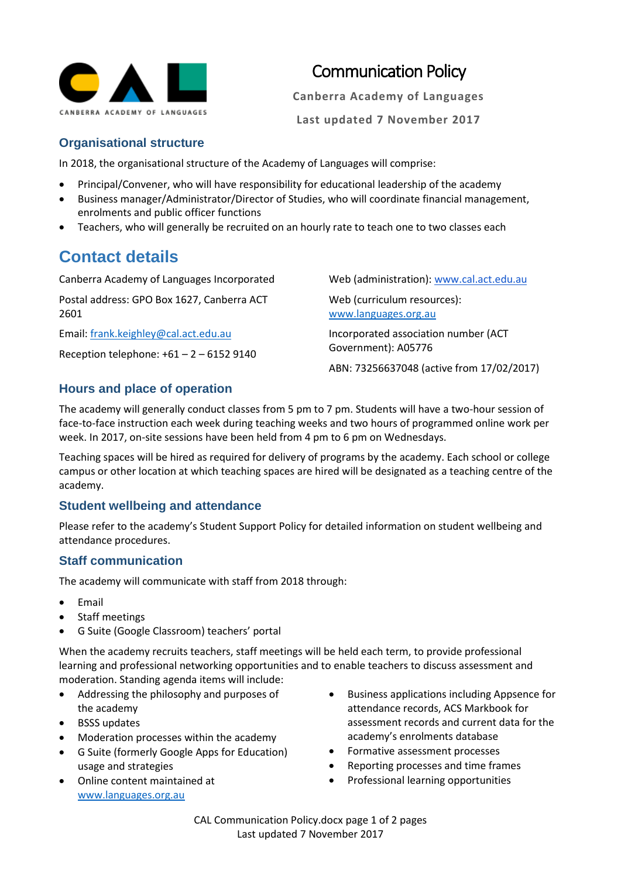

# Communication Policy

**Canberra Academy of Languages**

**Last updated 7 November 2017**

#### **Organisational structure**

In 2018, the organisational structure of the Academy of Languages will comprise:

- Principal/Convener, who will have responsibility for educational leadership of the academy
- Business manager/Administrator/Director of Studies, who will coordinate financial management, enrolments and public officer functions
- Teachers, who will generally be recruited on an hourly rate to teach one to two classes each

# **Contact details**

Canberra Academy of Languages Incorporated

Postal address: GPO Box 1627, Canberra ACT 2601

Email[: frank.keighley@cal.act.edu.au](mailto:frank.keighley@cal.act.edu.au)

Reception telephone:  $+61 - 2 - 61529140$ 

Web (administration): [www.cal.act.edu.au](http://www.cal.act.edu.au/)

Web (curriculum resources): [www.languages.org.au](http://www.languages.org.au/)

Incorporated association number (ACT Government): A05776

ABN: 73256637048 (active from 17/02/2017)

## **Hours and place of operation**

The academy will generally conduct classes from 5 pm to 7 pm. Students will have a two-hour session of face-to-face instruction each week during teaching weeks and two hours of programmed online work per week. In 2017, on-site sessions have been held from 4 pm to 6 pm on Wednesdays.

Teaching spaces will be hired as required for delivery of programs by the academy. Each school or college campus or other location at which teaching spaces are hired will be designated as a teaching centre of the academy.

## **Student wellbeing and attendance**

Please refer to the academy's Student Support Policy for detailed information on student wellbeing and attendance procedures.

## **Staff communication**

The academy will communicate with staff from 2018 through:

- **Email**
- Staff meetings
- G Suite (Google Classroom) teachers' portal

When the academy recruits teachers, staff meetings will be held each term, to provide professional learning and professional networking opportunities and to enable teachers to discuss assessment and moderation. Standing agenda items will include:

- Addressing the philosophy and purposes of the academy
- BSSS updates
- Moderation processes within the academy
- G Suite (formerly Google Apps for Education) usage and strategies
- Online content maintained at [www.languages.org.au](http://www.languages.org.au/)
- Business applications including Appsence for attendance records, ACS Markbook for assessment records and current data for the academy's enrolments database
- Formative assessment processes
- Reporting processes and time frames
- Professional learning opportunities

CAL Communication Policy.docx page 1 of 2 pages Last updated 7 November 2017